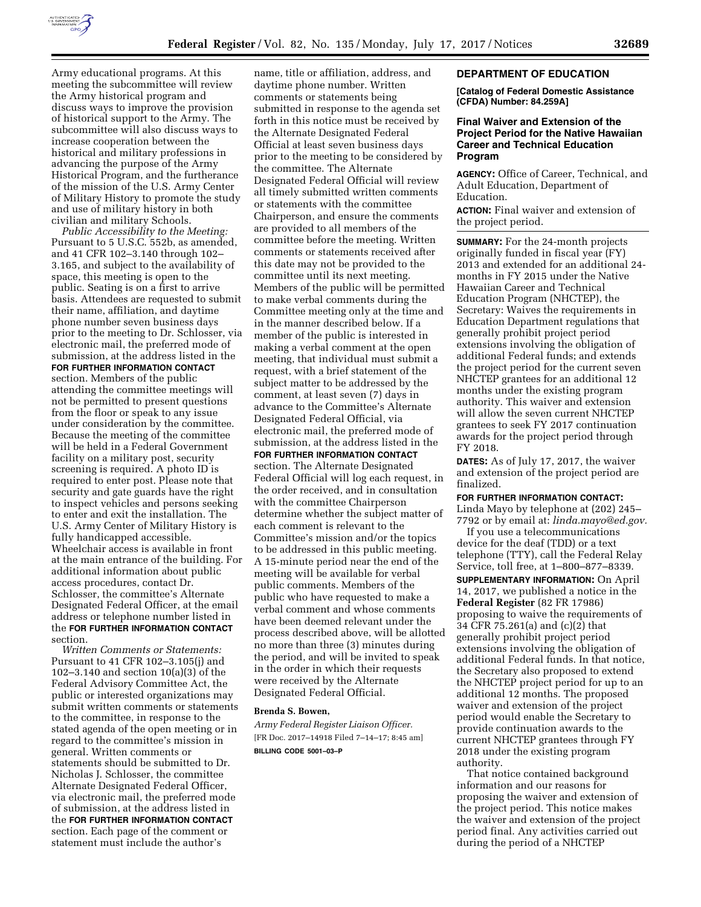

Army educational programs. At this meeting the subcommittee will review the Army historical program and discuss ways to improve the provision of historical support to the Army. The subcommittee will also discuss ways to increase cooperation between the historical and military professions in advancing the purpose of the Army Historical Program, and the furtherance of the mission of the U.S. Army Center of Military History to promote the study and use of military history in both civilian and military Schools.

*Public Accessibility to the Meeting:*  Pursuant to 5 U.S.C. 552b, as amended, and 41 CFR 102–3.140 through 102– 3.165, and subject to the availability of space, this meeting is open to the public. Seating is on a first to arrive basis. Attendees are requested to submit their name, affiliation, and daytime phone number seven business days prior to the meeting to Dr. Schlosser, via electronic mail, the preferred mode of submission, at the address listed in the **FOR FURTHER INFORMATION CONTACT** section. Members of the public attending the committee meetings will not be permitted to present questions from the floor or speak to any issue under consideration by the committee. Because the meeting of the committee will be held in a Federal Government facility on a military post, security screening is required. A photo ID is required to enter post. Please note that security and gate guards have the right to inspect vehicles and persons seeking to enter and exit the installation. The U.S. Army Center of Military History is fully handicapped accessible. Wheelchair access is available in front at the main entrance of the building. For additional information about public access procedures, contact Dr. Schlosser, the committee's Alternate Designated Federal Officer, at the email address or telephone number listed in the **FOR FURTHER INFORMATION CONTACT** section.

*Written Comments or Statements:*  Pursuant to 41 CFR 102–3.105(j) and 102–3.140 and section 10(a)(3) of the Federal Advisory Committee Act, the public or interested organizations may submit written comments or statements to the committee, in response to the stated agenda of the open meeting or in regard to the committee's mission in general. Written comments or statements should be submitted to Dr. Nicholas J. Schlosser, the committee Alternate Designated Federal Officer, via electronic mail, the preferred mode of submission, at the address listed in the **FOR FURTHER INFORMATION CONTACT** section. Each page of the comment or statement must include the author's

name, title or affiliation, address, and daytime phone number. Written comments or statements being submitted in response to the agenda set forth in this notice must be received by the Alternate Designated Federal Official at least seven business days prior to the meeting to be considered by the committee. The Alternate Designated Federal Official will review all timely submitted written comments or statements with the committee Chairperson, and ensure the comments are provided to all members of the committee before the meeting. Written comments or statements received after this date may not be provided to the committee until its next meeting. Members of the public will be permitted to make verbal comments during the Committee meeting only at the time and in the manner described below. If a member of the public is interested in making a verbal comment at the open meeting, that individual must submit a request, with a brief statement of the subject matter to be addressed by the comment, at least seven (7) days in advance to the Committee's Alternate Designated Federal Official, via electronic mail, the preferred mode of submission, at the address listed in the **FOR FURTHER INFORMATION CONTACT** section. The Alternate Designated Federal Official will log each request, in the order received, and in consultation with the committee Chairperson determine whether the subject matter of each comment is relevant to the Committee's mission and/or the topics to be addressed in this public meeting. A 15-minute period near the end of the meeting will be available for verbal public comments. Members of the public who have requested to make a verbal comment and whose comments have been deemed relevant under the process described above, will be allotted no more than three (3) minutes during the period, and will be invited to speak in the order in which their requests were received by the Alternate Designated Federal Official.

#### **Brenda S. Bowen,**

*Army Federal Register Liaison Officer.*  [FR Doc. 2017–14918 Filed 7–14–17; 8:45 am] **BILLING CODE 5001–03–P** 

# **DEPARTMENT OF EDUCATION**

**[Catalog of Federal Domestic Assistance (CFDA) Number: 84.259A]** 

# **Final Waiver and Extension of the Project Period for the Native Hawaiian Career and Technical Education Program**

**AGENCY:** Office of Career, Technical, and Adult Education, Department of Education.

**ACTION:** Final waiver and extension of the project period.

**SUMMARY:** For the 24-month projects originally funded in fiscal year (FY) 2013 and extended for an additional 24 months in FY 2015 under the Native Hawaiian Career and Technical Education Program (NHCTEP), the Secretary: Waives the requirements in Education Department regulations that generally prohibit project period extensions involving the obligation of additional Federal funds; and extends the project period for the current seven NHCTEP grantees for an additional 12 months under the existing program authority. This waiver and extension will allow the seven current NHCTEP grantees to seek FY 2017 continuation awards for the project period through FY 2018.

**DATES:** As of July 17, 2017, the waiver and extension of the project period are finalized.

**FOR FURTHER INFORMATION CONTACT:**  Linda Mayo by telephone at (202) 245– 7792 or by email at: *[linda.mayo@ed.gov.](mailto:linda.mayo@ed.gov)* 

If you use a telecommunications device for the deaf (TDD) or a text telephone (TTY), call the Federal Relay Service, toll free, at 1–800–877–8339.

**SUPPLEMENTARY INFORMATION:** On April 14, 2017, we published a notice in the **Federal Register** (82 FR 17986) proposing to waive the requirements of 34 CFR 75.261(a) and (c)(2) that generally prohibit project period extensions involving the obligation of additional Federal funds. In that notice, the Secretary also proposed to extend the NHCTEP project period for up to an additional 12 months. The proposed waiver and extension of the project period would enable the Secretary to provide continuation awards to the current NHCTEP grantees through FY 2018 under the existing program authority.

That notice contained background information and our reasons for proposing the waiver and extension of the project period. This notice makes the waiver and extension of the project period final. Any activities carried out during the period of a NHCTEP